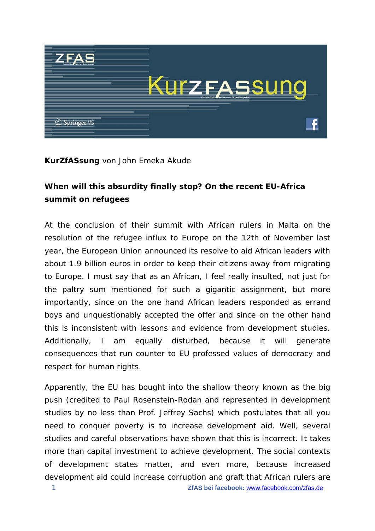

#### **Kur***ZfAS***sung** von John Emeka Akude

# **When will this absurdity finally stop? On the recent EU-Africa summit on refugees**

At the conclusion of their summit with African rulers in Malta on the resolution of the refugee influx to Europe on the 12th of November last year, the European Union announced its resolve to aid African leaders with about 1.9 billion euros in order to keep their citizens away from migrating to Europe. I must say that as an African, I feel really insulted, not just for the paltry sum mentioned for such a gigantic assignment, but more importantly, since on the one hand African leaders responded as errand boys and unquestionably accepted the offer and since on the other hand this is inconsistent with lessons and evidence from development studies. Additionally, I am equally disturbed, because it will generate consequences that run counter to EU professed values of democracy and respect for human rights.

Apparently, the EU has bought into the shallow theory known as the *big push* (credited to Paul Rosenstein-Rodan and represented in development studies by no less than Prof. Jeffrey Sachs) which postulates that all you need to conquer poverty is to increase development aid. Well, several studies and careful observations have shown that this is incorrect. It takes more than capital investment to achieve development. The social contexts of development states matter, and even more, because increased development aid could increase corruption and graft that African rulers are 1 **ZfAS bei facebook:** [www.facebook.com/zfas.de](http://www.facebook.com/zfas.de)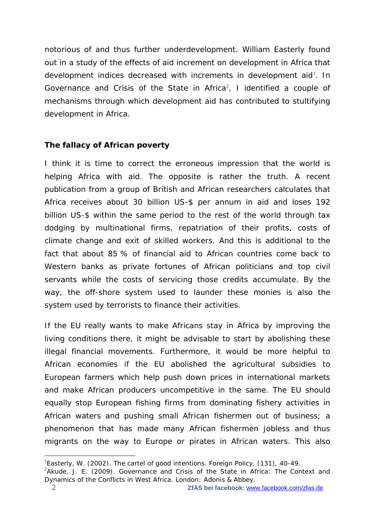notorious of and thus further underdevelopment. William Easterly found out in a study of the effects of aid increment on development in Africa that development indices decreased with increments in development aid<sup>[1](#page-1-0)</sup>. In *Governance and Crisis of the State in Africa[2](#page-1-1) ,* I identified a couple of mechanisms through which development aid has contributed to stultifying development in Africa.

# **The fallacy of African poverty**

I think it is time to correct the erroneous impression that the world is helping Africa with aid. The opposite is rather the truth. A recent publication from a group of British and African researchers calculates that Africa receives about 30 billion US-\$ per annum in aid and loses 192 billion US-\$ within the same period to the rest of the world through tax dodging by multinational firms, repatriation of their profits, costs of climate change and exit of skilled workers. And this is additional to the fact that about 85 % of financial aid to African countries come back to Western banks as private fortunes of African politicians and top civil servants while the costs of servicing those credits accumulate. By the way, the off-shore system used to launder these monies is also the system used by terrorists to finance their activities.

If the EU really wants to make Africans stay in Africa by improving the living conditions there, it might be advisable to start by abolishing these illegal financial movements. Furthermore, it would be more helpful to African economies if the EU abolished the agricultural subsidies to European farmers which help push down prices in international markets and make African producers uncompetitive in the same. The EU should equally stop European fishing firms from dominating fishery activities in African waters and pushing small African fishermen out of business; a phenomenon that has made many African fishermen jobless and thus migrants on the way to Europe or pirates in African waters. This also

<sup>1</sup> Easterly, W. (2002). The cartel of good intentions. *Foreign Policy,* (131), 40-49.  $\overline{a}$ 

<span id="page-1-1"></span><span id="page-1-0"></span><sup>2</sup> Akude, J. E. (2009). *Governance and Crisis of the State in Africa: The Context and Dynamics of the Conflicts in West Africa.* London: Adonis & Abbey.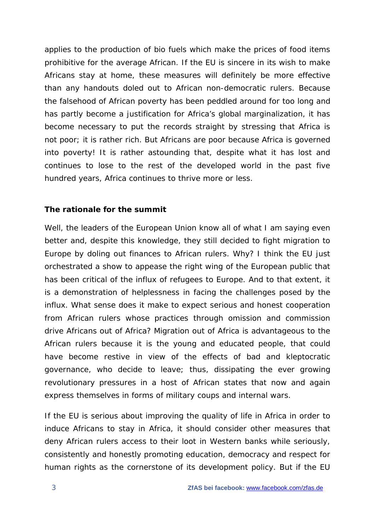applies to the production of bio fuels which make the prices of food items prohibitive for the average African. If the EU is sincere in its wish to make Africans stay at home, these measures will definitely be more effective than any handouts doled out to African non-democratic rulers. Because the falsehood of African poverty has been peddled around for too long and has partly become a justification for Africa's global marginalization, it has become necessary to put the records straight by stressing that Africa is not poor; it is rather rich. But Africans are poor because Africa is governed into poverty! It is rather astounding that, despite what it has lost and continues to lose to the rest of the developed world in the past five hundred years, Africa continues to thrive more or less.

## **The rationale for the summit**

Well, the leaders of the European Union know all of what I am saying even better and, despite this knowledge, they still decided to fight migration to Europe by doling out finances to African rulers. Why? I think the EU just orchestrated a show to appease the right wing of the European public that has been critical of the influx of refugees to Europe. And to that extent, it is a demonstration of helplessness in facing the challenges posed by the influx. What sense does it make to expect serious and honest cooperation from African rulers whose practices through omission and commission drive Africans out of Africa? Migration out of Africa is advantageous to the African rulers because it is the young and educated people, that could have become restive in view of the effects of bad and kleptocratic governance, who decide to leave; thus, dissipating the ever growing revolutionary pressures in a host of African states that now and again express themselves in forms of military coups and internal wars.

If the EU is serious about improving the quality of life in Africa in order to induce Africans to stay in Africa, it should consider other measures that deny African rulers access to their loot in Western banks while seriously, consistently and honestly promoting education, democracy and respect for human rights as the cornerstone of its development policy. But if the EU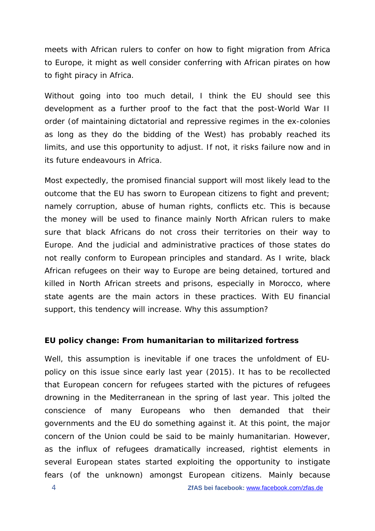meets with African rulers to confer on how to fight migration from Africa to Europe, it might as well consider conferring with African pirates on how to fight piracy in Africa.

Without going into too much detail, I think the EU should see this development as a further proof to the fact that the post-World War II order (of maintaining dictatorial and repressive regimes in the ex-colonies as long as they do the bidding of the West) has probably reached its limits, and use this opportunity to adjust. If not, it risks failure now and in its future endeavours in Africa.

Most expectedly, the promised financial support will most likely lead to the outcome that the EU has sworn to European citizens to fight and prevent; namely corruption, abuse of human rights, conflicts etc. This is because the money will be used to finance mainly North African rulers to make sure that black Africans do not cross their territories on their way to Europe. And the judicial and administrative practices of those states do not really conform to European principles and standard. As I write, black African refugees on their way to Europe are being detained, tortured and killed in North African streets and prisons, especially in Morocco, where state agents are the main actors in these practices. With EU financial support, this tendency will increase. Why this assumption?

#### **EU policy change: From humanitarian to militarized fortress**

Well, this assumption is inevitable if one traces the unfoldment of EUpolicy on this issue since early last year (2015). It has to be recollected that European concern for refugees started with the pictures of refugees drowning in the Mediterranean in the spring of last year. This jolted the conscience of many Europeans who then demanded that their governments and the EU do something against it. At this point, the major concern of the Union could be said to be mainly humanitarian. However, as the influx of refugees dramatically increased, rightist elements in several European states started exploiting the opportunity to instigate fears (of the unknown) amongst European citizens. Mainly because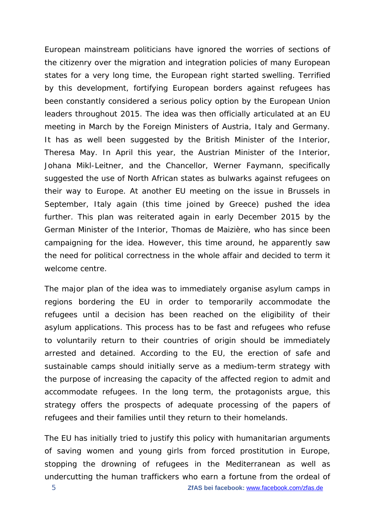European mainstream politicians have ignored the worries of sections of the citizenry over the migration and integration policies of many European states for a very long time, the European right started swelling. Terrified by this development, fortifying European borders against refugees has been constantly considered a serious policy option by the European Union leaders throughout 2015. The idea was then officially articulated at an EU meeting in March by the Foreign Ministers of Austria, Italy and Germany. It has as well been suggested by the British Minister of the Interior, Theresa May. In April this year, the Austrian Minister of the Interior, Johana Mikl-Leitner, and the Chancellor, Werner Faymann, specifically suggested the use of North African states as bulwarks against refugees on their way to Europe. At another EU meeting on the issue in Brussels in September, Italy again (this time joined by Greece) pushed the idea further. This plan was reiterated again in early December 2015 by the German Minister of the Interior, Thomas de Maizière, who has since been campaigning for the idea. However, this time around, he apparently saw the need for political correctness in the whole affair and decided to term it *welcome centre*.

The major plan of the idea was to immediately organise asylum camps in regions bordering the EU in order to temporarily accommodate the refugees until a decision has been reached on the eligibility of their asylum applications. This process has to be fast and refugees who refuse to voluntarily return to their countries of origin should be immediately arrested and detained. According to the EU, the erection of safe and sustainable camps should initially serve as a medium-term strategy with the purpose of increasing the capacity of the affected region to admit and accommodate refugees. In the long term, the protagonists argue, this strategy offers the prospects of adequate processing of the papers of refugees and their families until they return to their homelands.

The EU has initially tried to justify this policy with humanitarian arguments of saving women and young girls from forced prostitution in Europe, stopping the drowning of refugees in the Mediterranean as well as undercutting the human traffickers who earn a fortune from the ordeal of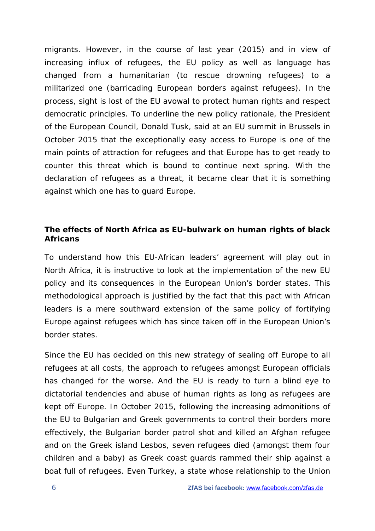migrants. However, in the course of last year (2015) and in view of increasing influx of refugees, the EU policy as well as language has changed from a humanitarian (to rescue drowning refugees) to a militarized one (barricading European borders against refugees). In the process, sight is lost of the EU avowal to protect human rights and respect democratic principles. To underline the new policy rationale, the President of the European Council, Donald Tusk, said at an EU summit in Brussels in October 2015 that the exceptionally easy access to Europe is one of the main points of attraction for refugees and that Europe has to get ready to counter this threat which is bound to continue next spring. With the declaration of refugees as a threat, it became clear that it is something against which one has to guard Europe.

## **The effects of North Africa as EU-bulwark on human rights of black Africans**

To understand how this EU-African leaders' agreement will play out in North Africa, it is instructive to look at the implementation of the new EU policy and its consequences in the European Union's border states. This methodological approach is justified by the fact that this pact with African leaders is a mere southward extension of the same policy of fortifying Europe against refugees which has since taken off in the European Union's border states.

Since the EU has decided on this new strategy of sealing off Europe to all refugees at all costs, the approach to refugees amongst European officials has changed for the worse. And the EU is ready to turn a blind eye to dictatorial tendencies and abuse of human rights as long as refugees are kept off Europe. In October 2015, following the increasing admonitions of the EU to Bulgarian and Greek governments to control their borders more effectively, the Bulgarian border patrol shot and killed an Afghan refugee and on the Greek island Lesbos, seven refugees died (amongst them four children and a baby) as Greek coast guards rammed their ship against a boat full of refugees. Even Turkey, a state whose relationship to the Union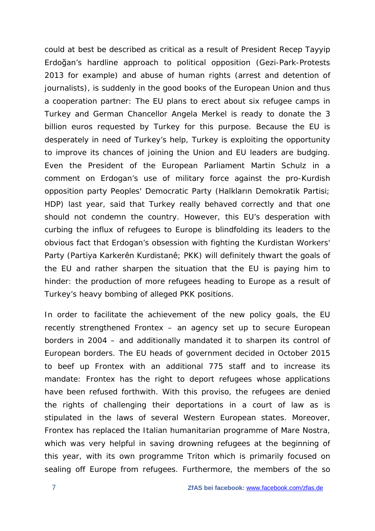could at best be described as critical as a result of President Recep Tayyip Erdoğan's hardline approach to political opposition (Gezi-Park-Protests 2013 for example) and abuse of human rights (arrest and detention of journalists), is suddenly in the good books of the European Union and thus a cooperation partner: The EU plans to erect about six refugee camps in Turkey and German Chancellor Angela Merkel is ready to donate the 3 billion euros requested by Turkey for this purpose. Because the EU is desperately in need of Turkey's help, Turkey is exploiting the opportunity to improve its chances of joining the Union and EU leaders are budging. Even the President of the European Parliament Martin Schulz in a comment on Erdogan's use of military force against the pro-Kurdish opposition party Peoples' Democratic Party (Halkların Demokratik Partisi; HDP) last year, said that Turkey really behaved correctly and that one should not condemn the country. However, this EU's desperation with curbing the influx of refugees to Europe is blindfolding its leaders to the obvious fact that Erdogan's obsession with fighting the Kurdistan Workers' Party (Partiya Karkerên Kurdistanê; PKK) will definitely thwart the goals of the EU and rather sharpen the situation that the EU is paying him to hinder: the production of more refugees heading to Europe as a result of Turkey's heavy bombing of alleged PKK positions.

In order to facilitate the achievement of the new policy goals, the EU recently strengthened Frontex – an agency set up to secure European borders in 2004 – and additionally mandated it to sharpen its control of European borders. The EU heads of government decided in October 2015 to beef up Frontex with an additional 775 staff and to increase its mandate: Frontex has the right to deport refugees whose applications have been refused forthwith. With this proviso, the refugees are denied the rights of challenging their deportations in a court of law as is stipulated in the laws of several Western European states. Moreover, Frontex has replaced the Italian humanitarian programme of Mare Nostra, which was very helpful in saving drowning refugees at the beginning of this year, with its own programme Triton which is primarily focused on sealing off Europe from refugees. Furthermore, the members of the so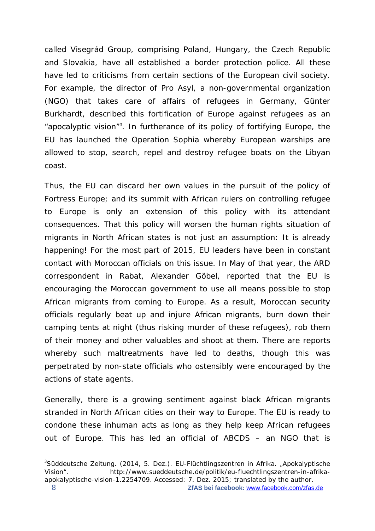called Visegrád Group, comprising Poland, Hungary, the Czech Republic and Slovakia, have all established a border protection police. All these have led to criticisms from certain sections of the European civil society. For example, the director of Pro Asyl, a non-governmental organization (NGO) that takes care of affairs of refugees in Germany, Günter Burkhardt, described this fortification of Europe against refugees as an "apocalyptic vision"[3](#page-7-0) . In furtherance of its policy of fortifying Europe, the EU has launched the Operation Sophia whereby European warships are allowed to stop, search, repel and destroy refugee boats on the Libyan coast.

Thus, the EU can discard her own values in the pursuit of the policy of *Fortress Europe*; and its summit with African rulers on controlling refugee to Europe is only an extension of this policy with its attendant consequences. That this policy will worsen the human rights situation of migrants in North African states is not just an assumption: It is already happening! For the most part of 2015, EU leaders have been in constant contact with Moroccan officials on this issue. In May of that year, the ARD correspondent in Rabat, Alexander Göbel, reported that the EU is encouraging the Moroccan government to use all means possible to stop African migrants from coming to Europe. As a result, Moroccan security officials regularly beat up and injure African migrants, burn down their camping tents at night (thus risking murder of these refugees), rob them of their money and other valuables and shoot at them. There are reports whereby such maltreatments have led to deaths, though this was perpetrated by non-state officials who ostensibly were encouraged by the actions of state agents.

Generally, there is a growing sentiment against black African migrants stranded in North African cities on their way to Europe. The EU is ready to condone these inhuman acts as long as they help keep African refugees out of Europe. This has led an official of ABCDS – an NGO that is

 $\overline{a}$ 

<span id="page-7-0"></span><sup>&</sup>lt;sup>3</sup>Süddeutsche Zeitung. (2014, 5. Dez.). EU-Flüchtlingszentren in Afrika. "Apokalyptische Vision". http://www.sueddeutsche.de/politik/eu-fluechtlingszentren-in-afrikaapokalyptische-vision-1.2254709. Accessed: 7. Dez. 2015; translated by the author.